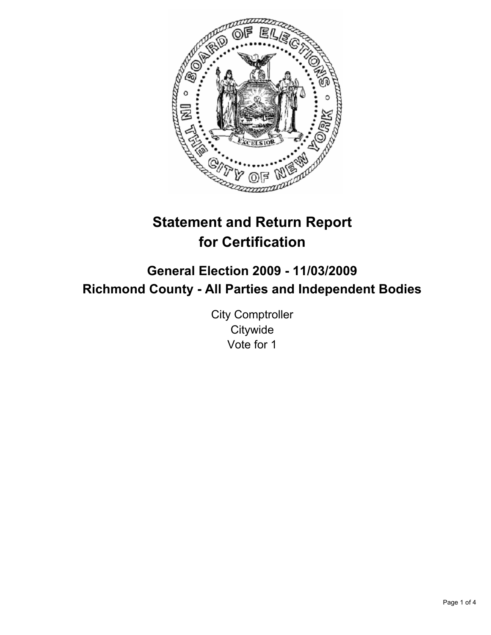

# **Statement and Return Report for Certification**

## **General Election 2009 - 11/03/2009 Richmond County - All Parties and Independent Bodies**

City Comptroller **Citywide** Vote for 1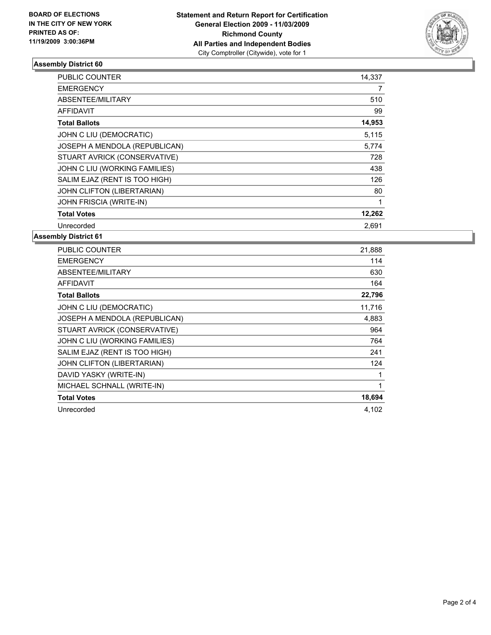

### **Assembly District 60**

| <b>PUBLIC COUNTER</b>         | 14,337 |
|-------------------------------|--------|
| <b>EMERGENCY</b>              | 7      |
| ABSENTEE/MILITARY             | 510    |
| <b>AFFIDAVIT</b>              | 99     |
| <b>Total Ballots</b>          | 14,953 |
| JOHN C LIU (DEMOCRATIC)       | 5,115  |
| JOSEPH A MENDOLA (REPUBLICAN) | 5,774  |
| STUART AVRICK (CONSERVATIVE)  | 728    |
| JOHN C LIU (WORKING FAMILIES) | 438    |
| SALIM EJAZ (RENT IS TOO HIGH) | 126    |
| JOHN CLIFTON (LIBERTARIAN)    | 80     |
| JOHN FRISCIA (WRITE-IN)       | 1      |
| <b>Total Votes</b>            | 12,262 |
| Unrecorded                    | 2,691  |

**Assembly District 61**

| <b>PUBLIC COUNTER</b>         | 21,888 |
|-------------------------------|--------|
| <b>EMERGENCY</b>              | 114    |
| ABSENTEE/MILITARY             | 630    |
| <b>AFFIDAVIT</b>              | 164    |
| <b>Total Ballots</b>          | 22,796 |
| JOHN C LIU (DEMOCRATIC)       | 11,716 |
| JOSEPH A MENDOLA (REPUBLICAN) | 4,883  |
| STUART AVRICK (CONSERVATIVE)  | 964    |
| JOHN C LIU (WORKING FAMILIES) | 764    |
| SALIM EJAZ (RENT IS TOO HIGH) | 241    |
| JOHN CLIFTON (LIBERTARIAN)    | 124    |
| DAVID YASKY (WRITE-IN)        | 1      |
| MICHAEL SCHNALL (WRITE-IN)    | 1      |
| <b>Total Votes</b>            | 18,694 |
| Unrecorded                    | 4,102  |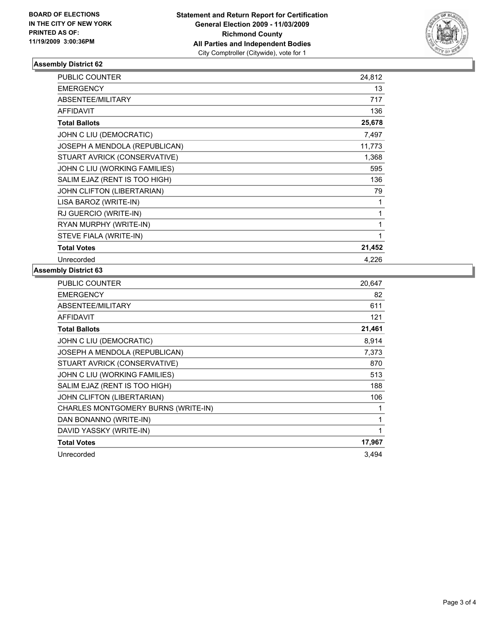

### **Assembly District 62**

| <b>PUBLIC COUNTER</b>         | 24,812 |
|-------------------------------|--------|
| <b>EMERGENCY</b>              | 13     |
| ABSENTEE/MILITARY             | 717    |
| <b>AFFIDAVIT</b>              | 136    |
| <b>Total Ballots</b>          | 25,678 |
| JOHN C LIU (DEMOCRATIC)       | 7,497  |
| JOSEPH A MENDOLA (REPUBLICAN) | 11,773 |
| STUART AVRICK (CONSERVATIVE)  | 1,368  |
| JOHN C LIU (WORKING FAMILIES) | 595    |
| SALIM EJAZ (RENT IS TOO HIGH) | 136    |
| JOHN CLIFTON (LIBERTARIAN)    | 79     |
| LISA BAROZ (WRITE-IN)         | 1      |
| RJ GUERCIO (WRITE-IN)         | 1      |
| RYAN MURPHY (WRITE-IN)        | 1      |
| STEVE FIALA (WRITE-IN)        | 1      |
| <b>Total Votes</b>            | 21,452 |
| Unrecorded                    | 4,226  |

### **Assembly District 63**

| <b>PUBLIC COUNTER</b>               | 20,647 |
|-------------------------------------|--------|
| <b>EMERGENCY</b>                    | 82     |
| ABSENTEE/MILITARY                   | 611    |
| <b>AFFIDAVIT</b>                    | 121    |
| <b>Total Ballots</b>                | 21,461 |
| JOHN C LIU (DEMOCRATIC)             | 8,914  |
| JOSEPH A MENDOLA (REPUBLICAN)       | 7,373  |
| STUART AVRICK (CONSERVATIVE)        | 870    |
| JOHN C LIU (WORKING FAMILIES)       | 513    |
| SALIM EJAZ (RENT IS TOO HIGH)       | 188    |
| JOHN CLIFTON (LIBERTARIAN)          | 106    |
| CHARLES MONTGOMERY BURNS (WRITE-IN) | 1      |
| DAN BONANNO (WRITE-IN)              | 1      |
| DAVID YASSKY (WRITE-IN)             | 1      |
| <b>Total Votes</b>                  | 17,967 |
| Unrecorded                          | 3,494  |